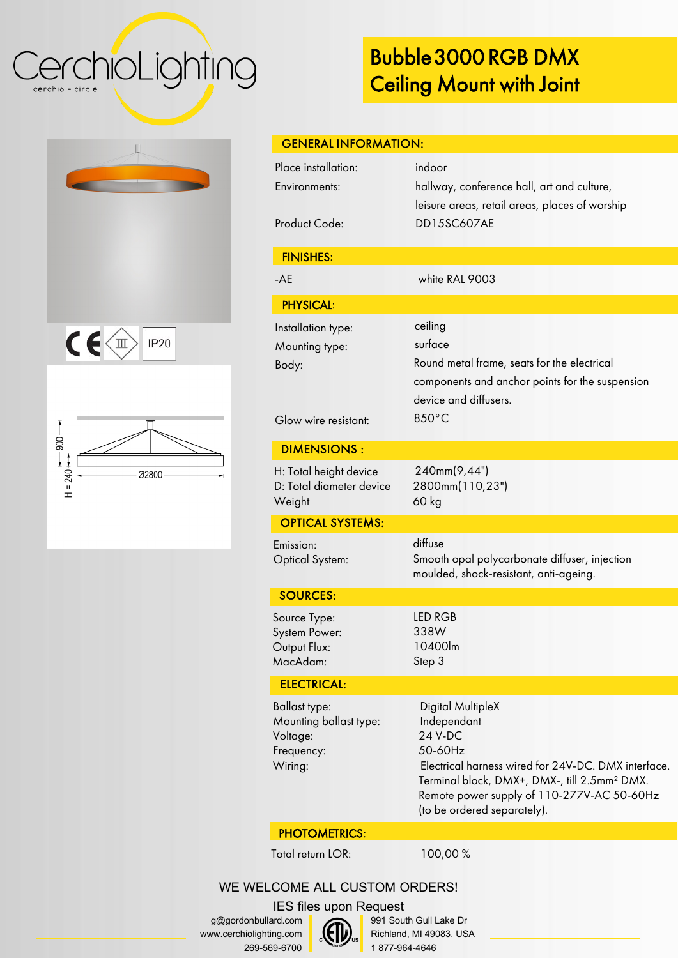### CerchioLighting cerchio = circle

 $C \in \left\langle \mathbb{I} \right\rangle$ 

 $-000$ 

 $H = 240 \div 1$ 

**IP20** 

Ø2800

# Bubble 3000 RGB DMX Ceiling Mount with Joint

Mounting ballast type: Independant Voltage: 24 V-DC Frequency: 50-60Hz Wiring: Electrical harness wired for 24V-DC. DMX interface. Terminal block, DMX+, DMX, till 2.5mm² DMX. Remote power supply of 110-277V-AC 50-60Hz (to be ordered separately). PHOTOMETRICS: Total return LOR: 100,00 % WE WELCOME ALL CUSTOM ORDERS! IES files upon Request g@gordonbullard.com 991 South Gull Lake Dr  $\mathcal{E}$ www.cerchiolighting.com Richland, MI 49083, USA Jus 269-569-6700 1 877-964-4646

| <b>GENERAL INFORMATION:</b>                                      |                                                                                                                                               |
|------------------------------------------------------------------|-----------------------------------------------------------------------------------------------------------------------------------------------|
| Place installation:<br>Environments:                             | indoor<br>hallway, conference hall, art and culture,<br>leisure areas, retail areas, places of worship                                        |
| <b>Product Code:</b>                                             | <b>DD15SC607AE</b>                                                                                                                            |
| <b>FINISHES:</b>                                                 |                                                                                                                                               |
| $-AE$                                                            | white RAL 9003                                                                                                                                |
| <b>PHYSICAL:</b>                                                 |                                                                                                                                               |
| Installation type:<br>Mounting type:<br>Body:                    | ceiling<br>surface<br>Round metal frame, seats for the electrical<br>components and anchor points for the suspension<br>device and diffusers. |
| Glow wire resistant:                                             | 850°C                                                                                                                                         |
| <b>DIMENSIONS:</b>                                               |                                                                                                                                               |
| H: Total height device<br>D: Total diameter device<br>Weight     | 240mm(9,44")<br>2800mm(110,23")<br>$60$ kg                                                                                                    |
| <b>OPTICAL SYSTEMS:</b>                                          |                                                                                                                                               |
| Emission:<br><b>Optical System:</b>                              | diffuse<br>Smooth opal polycarbonate diffuser, injection<br>moulded, shock-resistant, anti-ageing.                                            |
| <b>SOURCES:</b>                                                  |                                                                                                                                               |
| Source Type:<br><b>System Power:</b><br>Output Flux:<br>MacAdam: | LED RGB<br>338W<br>10400lm<br>Step 3                                                                                                          |
| <b>ELECTRICAL:</b>                                               |                                                                                                                                               |
| <b>Ballast type:</b>                                             | Digital MultipleX                                                                                                                             |